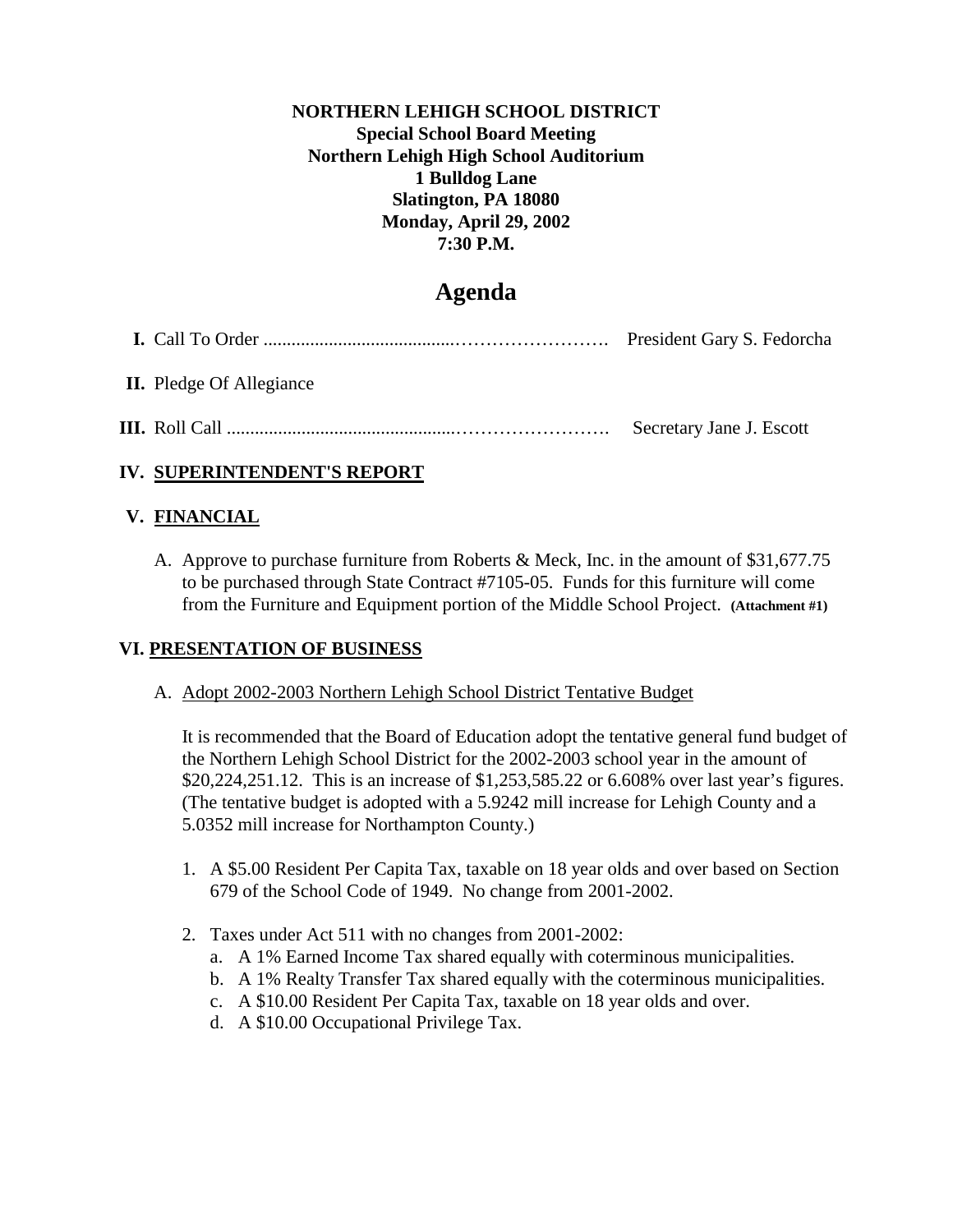#### **NORTHERN LEHIGH SCHOOL DISTRICT Special School Board Meeting Northern Lehigh High School Auditorium 1 Bulldog Lane Slatington, PA 18080 Monday, April 29, 2002 7:30 P.M.**

# **Agenda**

| <b>II.</b> Pledge Of Allegiance |                          |
|---------------------------------|--------------------------|
|                                 | Secretary Jane J. Escott |

## **IV. SUPERINTENDENT'S REPORT**

### **V. FINANCIAL**

A. Approve to purchase furniture from Roberts & Meck, Inc. in the amount of \$31,677.75 to be purchased through State Contract #7105-05. Funds for this furniture will come from the Furniture and Equipment portion of the Middle School Project. **(Attachment #1)**

## **VI. PRESENTATION OF BUSINESS**

#### A. Adopt 2002-2003 Northern Lehigh School District Tentative Budget

It is recommended that the Board of Education adopt the tentative general fund budget of the Northern Lehigh School District for the 2002-2003 school year in the amount of \$20,224,251.12. This is an increase of \$1,253,585.22 or 6.608% over last year's figures. (The tentative budget is adopted with a 5.9242 mill increase for Lehigh County and a 5.0352 mill increase for Northampton County.)

- 1. A \$5.00 Resident Per Capita Tax, taxable on 18 year olds and over based on Section 679 of the School Code of 1949. No change from 2001-2002.
- 2. Taxes under Act 511 with no changes from 2001-2002:
	- a. A 1% Earned Income Tax shared equally with coterminous municipalities.
	- b. A 1% Realty Transfer Tax shared equally with the coterminous municipalities.
	- c. A \$10.00 Resident Per Capita Tax, taxable on 18 year olds and over.
	- d. A \$10.00 Occupational Privilege Tax.